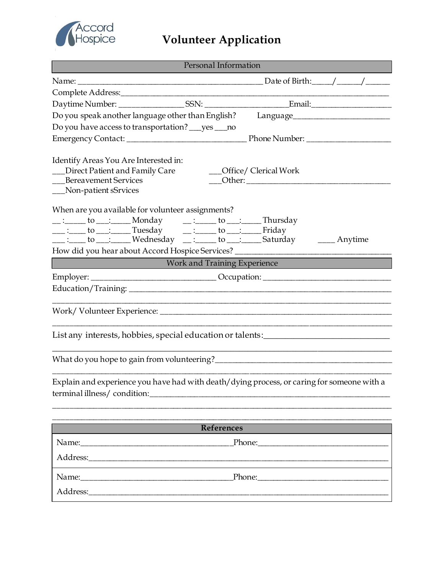

## **Volunteer Application**

| <b>Personal Information</b>                                                                                                                                                                                                    |  |                                                                                   |
|--------------------------------------------------------------------------------------------------------------------------------------------------------------------------------------------------------------------------------|--|-----------------------------------------------------------------------------------|
|                                                                                                                                                                                                                                |  |                                                                                   |
|                                                                                                                                                                                                                                |  |                                                                                   |
|                                                                                                                                                                                                                                |  |                                                                                   |
| Do you speak another language other than English?                                                                                                                                                                              |  |                                                                                   |
| Do you have access to transportation? ___ yes ___ no                                                                                                                                                                           |  |                                                                                   |
|                                                                                                                                                                                                                                |  |                                                                                   |
| Identify Areas You Are Interested in:<br>Direct Patient and Family Care<br><b>Bereavement Services</b><br>__Non-patient sSrvices                                                                                               |  | __Office/ Clerical Work                                                           |
| When are you available for volunteer assignments?                                                                                                                                                                              |  |                                                                                   |
|                                                                                                                                                                                                                                |  |                                                                                   |
| ___ :____ to ___ :_____ Tuesday    __ :_____ to ___ :_____ Friday<br>__ :____ to ___:_____ Wednesday ___:_____ to ___:_____ Saturday _______ Anytime                                                                           |  |                                                                                   |
|                                                                                                                                                                                                                                |  | How did you hear about Accord Hospice Services? _________________________________ |
| <b>Experience</b> Work and Training Experience                                                                                                                                                                                 |  |                                                                                   |
|                                                                                                                                                                                                                                |  | Employer: __________________________________Occupation: _________________________ |
|                                                                                                                                                                                                                                |  |                                                                                   |
|                                                                                                                                                                                                                                |  |                                                                                   |
| List any interests, hobbies, special education or talents:                                                                                                                                                                     |  |                                                                                   |
|                                                                                                                                                                                                                                |  |                                                                                   |
| Explain and experience you have had with death/dying process, or caring for someone with a<br>terminal illness/condition:                                                                                                      |  |                                                                                   |
| <b>References</b>                                                                                                                                                                                                              |  |                                                                                   |
|                                                                                                                                                                                                                                |  | Phone:                                                                            |
|                                                                                                                                                                                                                                |  |                                                                                   |
| Phone: Phone Phone Phone Phone Phone Phone Phone Phone Phone Phone Phone Phone Phone Phone Phone Phone Phone Phone Phone Phone Phone Phone Phone Phone Phone Phone Phone Phone Phone Phone Phone Phone Phone Phone Phone Phone |  |                                                                                   |
|                                                                                                                                                                                                                                |  |                                                                                   |
|                                                                                                                                                                                                                                |  |                                                                                   |